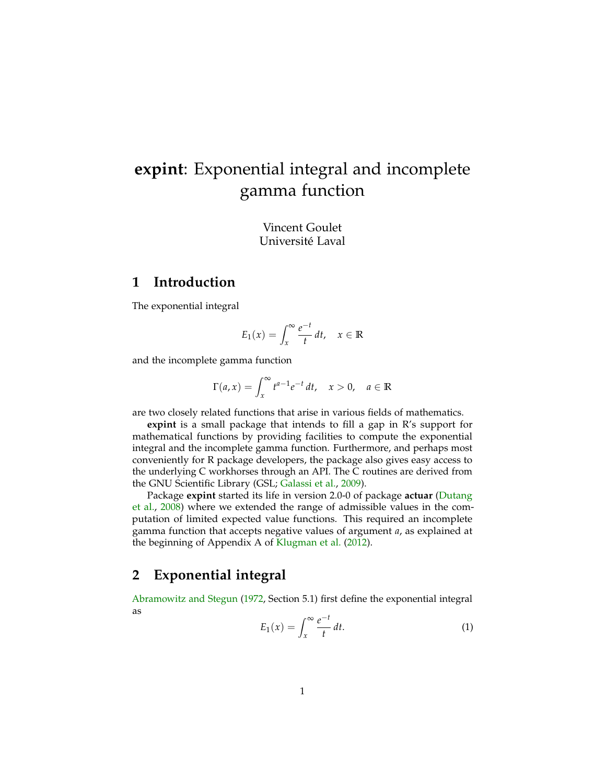# **expint**: Exponential integral and incomplete gamma function

Vincent Goulet Université Laval

## **1 Introduction**

The exponential integral

$$
E_1(x) = \int_x^{\infty} \frac{e^{-t}}{t} dt, \quad x \in \mathbb{R}
$$

and the incomplete gamma function

$$
\Gamma(a,x) = \int_x^{\infty} t^{a-1} e^{-t} dt, \quad x > 0, \quad a \in \mathbb{R}
$$

are two closely related functions that arise in various fields of mathematics.

**expint** is a small package that intends to fill a gap in R's support for mathematical functions by providing facilities to compute the exponential integral and the incomplete gamma function. Furthermore, and perhaps most conveniently for R package developers, the package also gives easy access to the underlying C workhorses through an API. The C routines are derived from the GNU Scientific Library (GSL; [Galassi et al.,](#page-7-0) [2009\)](#page-7-0).

Package **expint** started its life in version 2.0-0 of package **actuar** [\(Dutang](#page-7-1) [et al.,](#page-7-1) [2008\)](#page-7-1) where we extended the range of admissible values in the computation of limited expected value functions. This required an incomplete gamma function that accepts negative values of argument *a*, as explained at the beginning of Appendix A of [Klugman et al.](#page-7-2) [\(2012\)](#page-7-2).

## **2 Exponential integral**

[Abramowitz and Stegun](#page-7-3) [\(1972,](#page-7-3) Section 5.1) first define the exponential integral as

<span id="page-0-0"></span>
$$
E_1(x) = \int_x^{\infty} \frac{e^{-t}}{t} dt.
$$
 (1)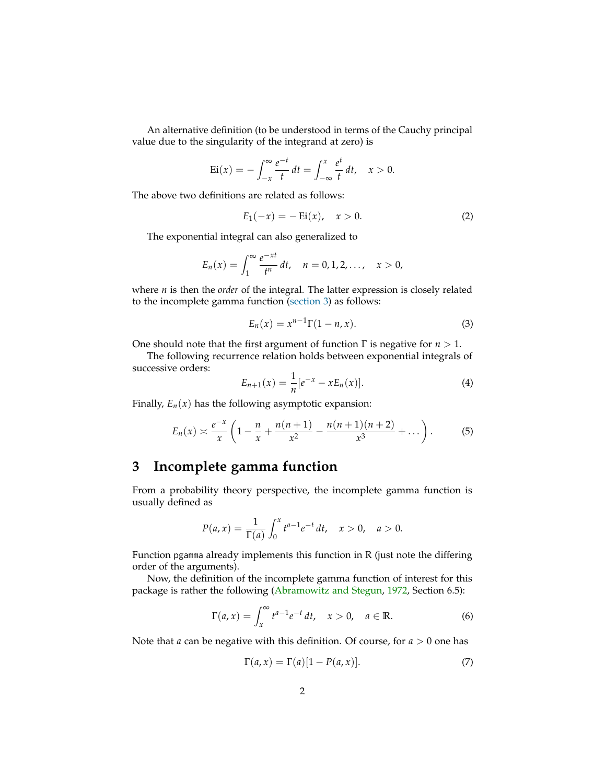An alternative definition (to be understood in terms of the Cauchy principal value due to the singularity of the integrand at zero) is

$$
Ei(x) = -\int_{-x}^{\infty} \frac{e^{-t}}{t} dt = \int_{-\infty}^{x} \frac{e^{t}}{t} dt, \quad x > 0.
$$

The above two definitions are related as follows:

<span id="page-1-3"></span>
$$
E_1(-x) = -\operatorname{Ei}(x), \quad x > 0. \tag{2}
$$

The exponential integral can also generalized to

$$
E_n(x) = \int_1^\infty \frac{e^{-xt}}{t^n} dt, \quad n = 0, 1, 2, \ldots, \quad x > 0,
$$

where *n* is then the *order* of the integral. The latter expression is closely related to the incomplete gamma function [\(section 3\)](#page-1-0) as follows:

<span id="page-1-6"></span>
$$
E_n(x) = x^{n-1} \Gamma(1 - n, x).
$$
 (3)

One should note that the first argument of function Γ is negative for *n* > 1.

The following recurrence relation holds between exponential integrals of successive orders:

<span id="page-1-4"></span>
$$
E_{n+1}(x) = \frac{1}{n} [e^{-x} - x E_n(x)].
$$
\n(4)

Finally,  $E_n(x)$  has the following asymptotic expansion:

<span id="page-1-5"></span>
$$
E_n(x) \approx \frac{e^{-x}}{x} \left( 1 - \frac{n}{x} + \frac{n(n+1)}{x^2} - \frac{n(n+1)(n+2)}{x^3} + \dots \right). \tag{5}
$$

# <span id="page-1-0"></span>**3 Incomplete gamma function**

From a probability theory perspective, the incomplete gamma function is usually defined as

$$
P(a,x) = \frac{1}{\Gamma(a)} \int_0^x t^{a-1} e^{-t} dt, \quad x > 0, \quad a > 0.
$$

Function pgamma already implements this function in R (just note the differing order of the arguments).

Now, the definition of the incomplete gamma function of interest for this package is rather the following [\(Abramowitz and Stegun,](#page-7-3) [1972,](#page-7-3) Section 6.5):

<span id="page-1-1"></span>
$$
\Gamma(a,x) = \int_x^{\infty} t^{a-1} e^{-t} dt, \quad x > 0, \quad a \in \mathbb{R}.
$$
 (6)

Note that *a* can be negative with this definition. Of course, for *a* > 0 one has

<span id="page-1-2"></span>
$$
\Gamma(a, x) = \Gamma(a)[1 - P(a, x)].
$$
\n(7)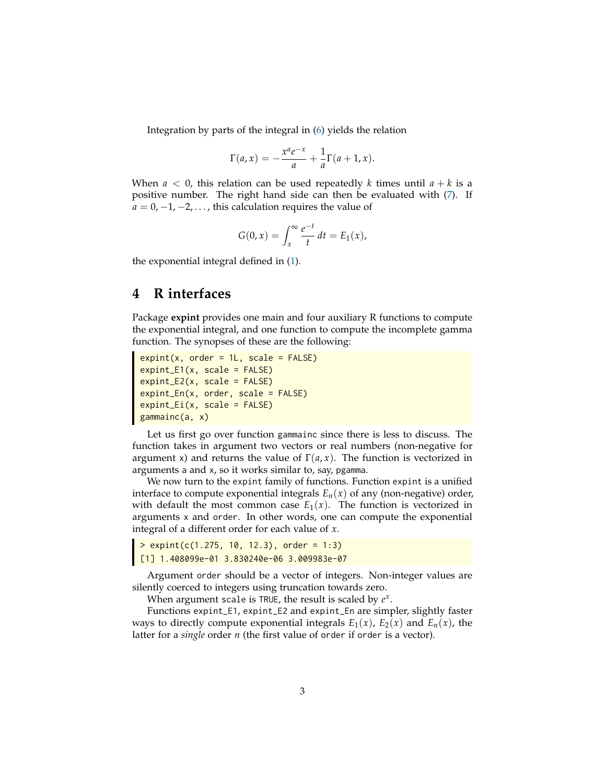Integration by parts of the integral in [\(6\)](#page-1-1) yields the relation

$$
\Gamma(a,x) = -\frac{x^a e^{-x}}{a} + \frac{1}{a}\Gamma(a+1,x).
$$

When  $a < 0$ , this relation can be used repeatedly *k* times until  $a + k$  is a positive number. The right hand side can then be evaluated with [\(7\)](#page-1-2). If  $a = 0, -1, -2, \ldots$ , this calculation requires the value of

$$
G(0,x) = \int_x^{\infty} \frac{e^{-t}}{t} dt = E_1(x),
$$

the exponential integral defined in [\(1\)](#page-0-0).

## <span id="page-2-0"></span>**4 R interfaces**

Package **expint** provides one main and four auxiliary R functions to compute the exponential integral, and one function to compute the incomplete gamma function. The synopses of these are the following:

```
expint(x, order = 1L, scale = FALSE)expint_E1(x, scale = FALSE)expint_E2(x, scale = FALSE)
expint_En(x, order, scale = FALSE)
expint_Ei(x, scale = FALSE)gammainc(a, x)
```
Let us first go over function gammainc since there is less to discuss. The function takes in argument two vectors or real numbers (non-negative for argument x) and returns the value of  $\Gamma(a, x)$ . The function is vectorized in arguments a and x, so it works similar to, say, pgamma.

We now turn to the expint family of functions. Function expint is a unified interface to compute exponential integrals  $E_n(x)$  of any (non-negative) order, with default the most common case  $E_1(x)$ . The function is vectorized in arguments x and order. In other words, one can compute the exponential integral of a different order for each value of *x*.

> expint(c(1.275, 10, 12.3), order = 1:3) [1] 1.408099e-01 3.830240e-06 3.009983e-07

Argument order should be a vector of integers. Non-integer values are silently coerced to integers using truncation towards zero.

When argument scale is TRUE, the result is scaled by *e x* .

Functions expint\_E1, expint\_E2 and expint\_En are simpler, slightly faster ways to directly compute exponential integrals  $E_1(x)$ ,  $E_2(x)$  and  $E_n(x)$ , the latter for a *single* order *n* (the first value of order if order is a vector).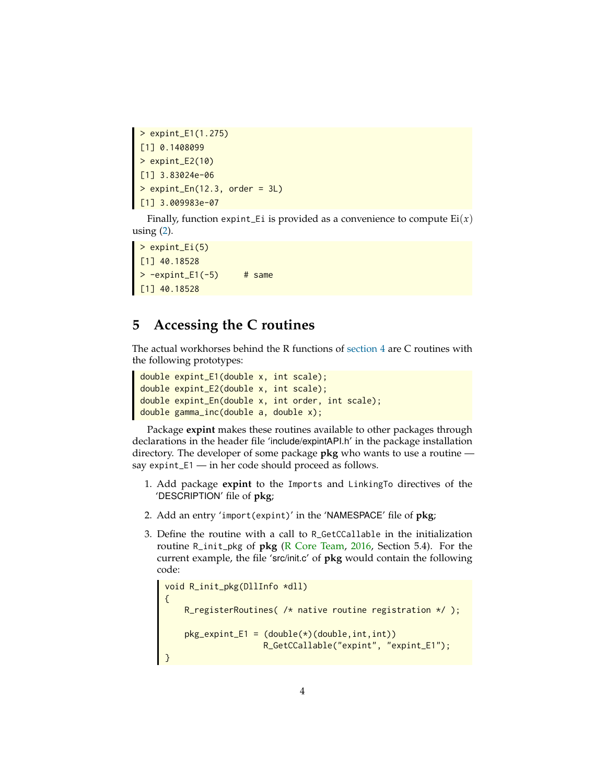```
> expint_E1(1.275)
[1] 0.1408099
> expint_E2(10)
[1] 3.83024e-06
\frac{113}{2}. 83024e-06<br>> expint_En(12.3, order = 3L)
[1] 3.009983e-07
```
Finally, function expint\_Ei is provided as a convenience to compute  $Ei(x)$ using  $(2)$ .

> expint\_Ei(5) [1] 40.18528  $> -$ expint\_E1(-5) # same [1] 40.18528

# <span id="page-3-0"></span>**5 Accessing the C routines**

The actual workhorses behind the R functions of [section 4](#page-2-0) are C routines with the following prototypes:

```
double expint_E1(double x, int scale);
double expint_E2(double x, int scale);
double expint_En(double x, int order, int scale);
double gamma_inc(double a, double x);
```
Package **expint** makes these routines available to other packages through declarations in the header file 'include/expintAPI.h' in the package installation directory. The developer of some package **pkg** who wants to use a routine say expint\_E1 — in her code should proceed as follows.

- 1. Add package **expint** to the Imports and LinkingTo directives of the 'DESCRIPTION' file of **pkg**;
- 2. Add an entry 'import(expint)' in the 'NAMESPACE' file of **pkg**;
- 3. Define the routine with a call to R\_GetCCallable in the initialization routine R\_init\_pkg of **pkg** [\(R Core Team,](#page-7-4) [2016,](#page-7-4) Section 5.4). For the current example, the file 'src/init.c' of **pkg** would contain the following code:

```
void R_init_pkg(DllInfo *dll)
{
    R_registerRoutines( /* native routine registration */ );
    pkg<sup>_</sup>expint_E1 = (double(*) (double, int, int))R_GetCCallable("expint", "expint_E1");
}
```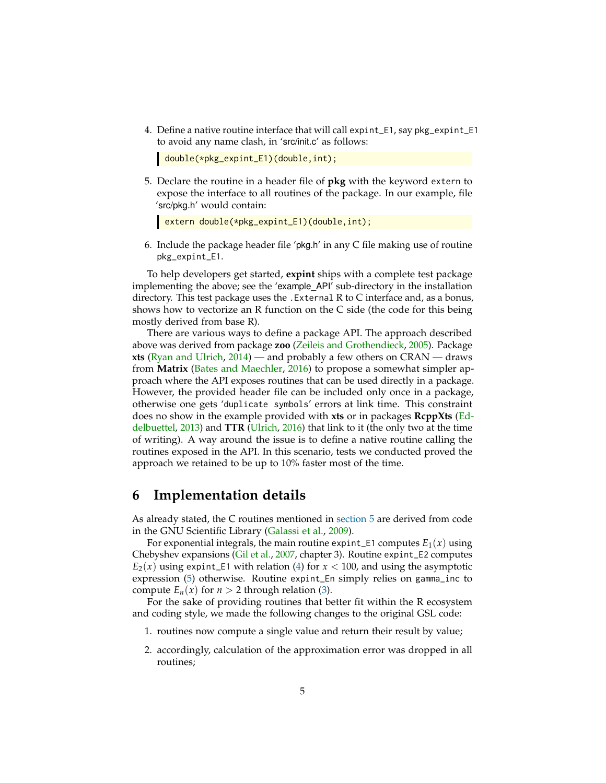4. Define a native routine interface that will call expint\_E1, say pkg\_expint\_E1 to avoid any name clash, in 'src/init.c' as follows:

```
double(*pkg_expint_E1)(double,int);
```
5. Declare the routine in a header file of **pkg** with the keyword extern to expose the interface to all routines of the package. In our example, file 'src/pkg.h' would contain:

```
extern double(*pkg_expint_E1)(double,int);
```
6. Include the package header file 'pkg.h' in any C file making use of routine pkg\_expint\_E1.

To help developers get started, **expint** ships with a complete test package implementing the above; see the 'example\_API' sub-directory in the installation directory. This test package uses the .External R to C interface and, as a bonus, shows how to vectorize an R function on the C side (the code for this being mostly derived from base R).

There are various ways to define a package API. The approach described above was derived from package **zoo** [\(Zeileis and Grothendieck,](#page-8-0) [2005\)](#page-8-0). Package **xts** [\(Ryan and Ulrich,](#page-7-5) [2014\)](#page-7-5) — and probably a few others on CRAN — draws from **Matrix** [\(Bates and Maechler,](#page-7-6) [2016\)](#page-7-6) to propose a somewhat simpler approach where the API exposes routines that can be used directly in a package. However, the provided header file can be included only once in a package, otherwise one gets 'duplicate symbols' errors at link time. This constraint does no show in the example provided with **xts** or in packages **RcppXts** [\(Ed](#page-7-7)[delbuettel,](#page-7-7) [2013\)](#page-7-7) and **TTR** [\(Ulrich,](#page-8-1) [2016\)](#page-8-1) that link to it (the only two at the time of writing). A way around the issue is to define a native routine calling the routines exposed in the API. In this scenario, tests we conducted proved the approach we retained to be up to 10% faster most of the time.

#### <span id="page-4-0"></span>**6 Implementation details**

As already stated, the C routines mentioned in [section 5](#page-3-0) are derived from code in the GNU Scientific Library [\(Galassi et al.,](#page-7-0) [2009\)](#page-7-0).

For exponential integrals, the main routine expint\_E1 computes  $E_1(x)$  using Chebyshev expansions [\(Gil et al.,](#page-7-8) [2007,](#page-7-8) chapter 3). Routine expint\_E2 computes  $E_2(x)$  using expint\_E1 with relation [\(4\)](#page-1-4) for  $x < 100$ , and using the asymptotic expression [\(5\)](#page-1-5) otherwise. Routine expint\_En simply relies on gamma\_inc to compute  $E_n(x)$  for  $n > 2$  through relation [\(3\)](#page-1-6).

For the sake of providing routines that better fit within the R ecosystem and coding style, we made the following changes to the original GSL code:

- 1. routines now compute a single value and return their result by value;
- 2. accordingly, calculation of the approximation error was dropped in all routines;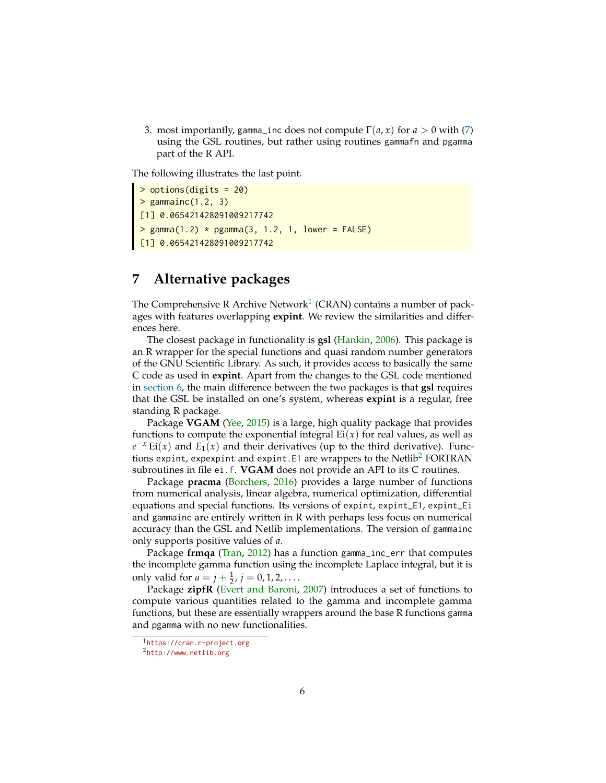3. most importantly, gamma\_inc does not compute  $\Gamma(a, x)$  for  $a > 0$  with [\(7\)](#page-1-2) using the GSL routines, but rather using routines gammafn and pgamma part of the R API.

The following illustrates the last point.

```
> options(digits = 20)
> gammainc(1.2, 3)[1] 0.065421428091009217742
> gamma(1.2) * pgamma(3, 1.2, 1, lower = FALSE)
[1] 0.065421428091009217742
```
# **7 Alternative packages**

The Comprehensive R Archive Network<sup>[1](#page-5-0)</sup> (CRAN) contains a number of packages with features overlapping **expint**. We review the similarities and differences here.

The closest package in functionality is **gsl** [\(Hankin,](#page-7-9) [2006\)](#page-7-9). This package is an R wrapper for the special functions and quasi random number generators of the GNU Scientific Library. As such, it provides access to basically the same C code as used in **expint**. Apart from the changes to the GSL code mentioned in [section 6,](#page-4-0) the main difference between the two packages is that **gsl** requires that the GSL be installed on one's system, whereas **expint** is a regular, free standing R package.

Package **VGAM** [\(Yee,](#page-8-2) [2015\)](#page-8-2) is a large, high quality package that provides functions to compute the exponential integral  $Ei(x)$  for real values, as well as  $e^{-x}$  Ei(*x*) and *E*<sub>1</sub>(*x*) and their derivatives (up to the third derivative). Func-tions expint, expexpint and expint. E1 are wrappers to the Netlib<sup>[2](#page-5-1)</sup> FORTRAN subroutines in file ei.f. **VGAM** does not provide an API to its C routines.

Package **pracma** [\(Borchers,](#page-7-10) [2016\)](#page-7-10) provides a large number of functions from numerical analysis, linear algebra, numerical optimization, differential equations and special functions. Its versions of expint, expint\_E1, expint\_Ei and gammainc are entirely written in R with perhaps less focus on numerical accuracy than the GSL and Netlib implementations. The version of gammainc only supports positive values of *a*.

Package **frmqa** [\(Tran,](#page-8-3) [2012\)](#page-8-3) has a function gamma\_inc\_err that computes the incomplete gamma function using the incomplete Laplace integral, but it is only valid for  $a = j + \frac{1}{2}$ ,  $j = 0, 1, 2, \ldots$ .

Package **zipfR** [\(Evert and Baroni,](#page-7-11) [2007\)](#page-7-11) introduces a set of functions to compute various quantities related to the gamma and incomplete gamma functions, but these are essentially wrappers around the base R functions gamma and pgamma with no new functionalities.

<span id="page-5-0"></span><sup>1</sup><https://cran.r-project.org>

<span id="page-5-1"></span><sup>2</sup><http://www.netlib.org>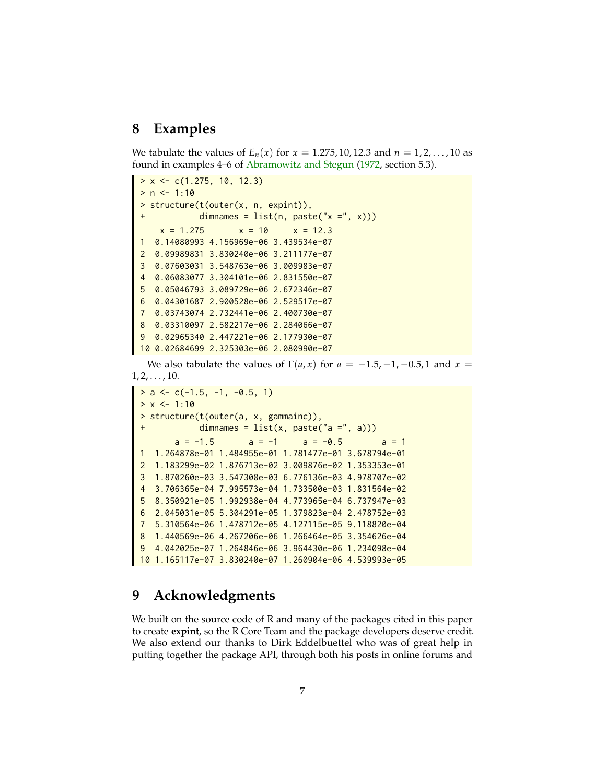## **8 Examples**

We tabulate the values of  $E_n(x)$  for  $x = 1.275, 10, 12.3$  and  $n = 1, 2, ..., 10$  as found in examples 4–6 of [Abramowitz and Stegun](#page-7-3) [\(1972,](#page-7-3) section 5.3).

```
> x < -c(1.275, 10, 12.3)> n < -1:10> structure(t(outer(x, n, expint)),
           dimnames = list(n, paste('x =", x)))x = 1.275 x = 10 x = 12.31 0.14080993 4.156969e-06 3.439534e-07
2 0.09989831 3.830240e-06 3.211177e-07
3 0.07603031 3.548763e-06 3.009983e-07
4 0.06083077 3.304101e-06 2.831550e-07
5 0.05046793 3.089729e-06 2.672346e-07
6 0.04301687 2.900528e-06 2.529517e-07
7 0.03743074 2.732441e-06 2.400730e-07
8 0.03310097 2.582217e-06 2.284066e-07
9 0.02965340 2.447221e-06 2.177930e-07
10 0.02684699 2.325303e-06 2.080990e-07
```
We also tabulate the values of  $\Gamma(a, x)$  for  $a = -1.5, -1, -0.5, 1$  and  $x =$  $1, 2, \ldots, 10.$ 

```
> a < -c(-1.5, -1, -0.5, 1)> x < -1:10> structure(t(outer(a, x, gammainc)),
           dimnames = list(x, paste("a =", a)))a = -1.5 a = -1 a = -0.5 a = 1
1 1.264878e-01 1.484955e-01 1.781477e-01 3.678794e-01
2 1.183299e-02 1.876713e-02 3.009876e-02 1.353353e-01
3 1.870260e-03 3.547308e-03 6.776136e-03 4.978707e-02
 4 3.706365e-04 7.995573e-04 1.733500e-03 1.831564e-02
5 8.350921e-05 1.992938e-04 4.773965e-04 6.737947e-03
6 2.045031e-05 5.304291e-05 1.379823e-04 2.478752e-03
7 5.310564e-06 1.478712e-05 4.127115e-05 9.118820e-04
8 1.440569e-06 4.267206e-06 1.266464e-05 3.354626e-04
9 4.042025e-07 1.264846e-06 3.964430e-06 1.234098e-04
10 1.165117e-07 3.830240e-07 1.260904e-06 4.539993e-05
```
## **9 Acknowledgments**

We built on the source code of R and many of the packages cited in this paper to create **expint**, so the R Core Team and the package developers deserve credit. We also extend our thanks to Dirk Eddelbuettel who was of great help in putting together the package API, through both his posts in online forums and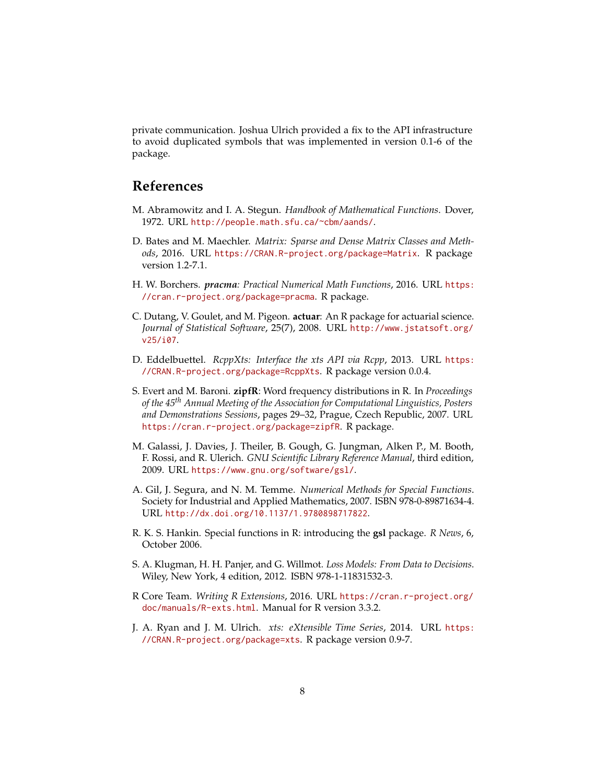private communication. Joshua Ulrich provided a fix to the API infrastructure to avoid duplicated symbols that was implemented in version 0.1-6 of the package.

## **References**

- <span id="page-7-3"></span>M. Abramowitz and I. A. Stegun. *Handbook of Mathematical Functions*. Dover, 1972. URL <http://people.math.sfu.ca/~cbm/aands/>.
- <span id="page-7-6"></span>D. Bates and M. Maechler. *Matrix: Sparse and Dense Matrix Classes and Methods*, 2016. URL <https://CRAN.R-project.org/package=Matrix>. R package version 1.2-7.1.
- <span id="page-7-10"></span>H. W. Borchers. *pracma: Practical Numerical Math Functions*, 2016. URL [https:](https://cran.r-project.org/package=pracma) [//cran.r-project.org/package=pracma](https://cran.r-project.org/package=pracma). R package.
- <span id="page-7-1"></span>C. Dutang, V. Goulet, and M. Pigeon. **actuar**: An R package for actuarial science. *Journal of Statistical Software*, 25(7), 2008. URL [http://www.jstatsoft.org/](http://www.jstatsoft.org/v25/i07) [v25/i07](http://www.jstatsoft.org/v25/i07).
- <span id="page-7-7"></span>D. Eddelbuettel. *RcppXts: Interface the xts API via Rcpp*, 2013. URL [https:](https://CRAN.R-project.org/package=RcppXts) [//CRAN.R-project.org/package=RcppXts](https://CRAN.R-project.org/package=RcppXts). R package version 0.0.4.
- <span id="page-7-11"></span>S. Evert and M. Baroni. **zipfR**: Word frequency distributions in R. In *Proceedings of the 45th Annual Meeting of the Association for Computational Linguistics, Posters and Demonstrations Sessions*, pages 29–32, Prague, Czech Republic, 2007. URL <https://cran.r-project.org/package=zipfR>. R package.
- <span id="page-7-0"></span>M. Galassi, J. Davies, J. Theiler, B. Gough, G. Jungman, Alken P., M. Booth, F. Rossi, and R. Ulerich. *GNU Scientific Library Reference Manual*, third edition, 2009. URL <https://www.gnu.org/software/gsl/>.
- <span id="page-7-8"></span>A. Gil, J. Segura, and N. M. Temme. *Numerical Methods for Special Functions*. Society for Industrial and Applied Mathematics, 2007. ISBN 978-0-89871634-4. URL <http://dx.doi.org/10.1137/1.9780898717822>.
- <span id="page-7-9"></span>R. K. S. Hankin. Special functions in R: introducing the **gsl** package. *R News*, 6, October 2006.
- <span id="page-7-2"></span>S. A. Klugman, H. H. Panjer, and G. Willmot. *Loss Models: From Data to Decisions*. Wiley, New York, 4 edition, 2012. ISBN 978-1-11831532-3.
- <span id="page-7-4"></span>R Core Team. *Writing R Extensions*, 2016. URL [https://cran.r-project.org/](https://cran.r-project.org/doc/manuals/R-exts.html) [doc/manuals/R-exts.html](https://cran.r-project.org/doc/manuals/R-exts.html). Manual for R version 3.3.2.
- <span id="page-7-5"></span>J. A. Ryan and J. M. Ulrich. *xts: eXtensible Time Series*, 2014. URL [https:](https://CRAN.R-project.org/package=xts) [//CRAN.R-project.org/package=xts](https://CRAN.R-project.org/package=xts). R package version 0.9-7.